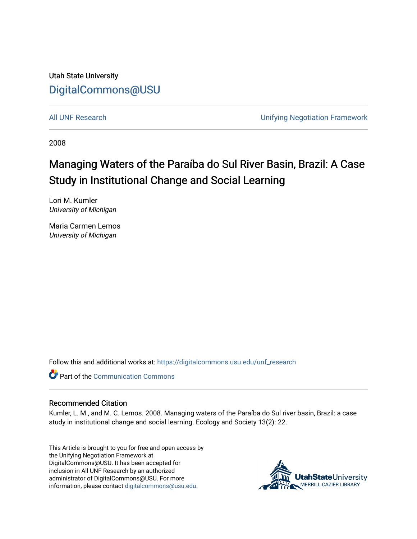Utah State University [DigitalCommons@USU](https://digitalcommons.usu.edu/)

[All UNF Research](https://digitalcommons.usu.edu/unf_research) **All UNF Research Unifying Negotiation Framework** 

2008

# Managing Waters of the Paraíba do Sul River Basin, Brazil: A Case Study in Institutional Change and Social Learning

Lori M. Kumler University of Michigan

Maria Carmen Lemos University of Michigan

Follow this and additional works at: [https://digitalcommons.usu.edu/unf\\_research](https://digitalcommons.usu.edu/unf_research?utm_source=digitalcommons.usu.edu%2Funf_research%2F29&utm_medium=PDF&utm_campaign=PDFCoverPages) 



#### Recommended Citation

Kumler, L. M., and M. C. Lemos. 2008. Managing waters of the Paraíba do Sul river basin, Brazil: a case study in institutional change and social learning. Ecology and Society 13(2): 22.

This Article is brought to you for free and open access by the Unifying Negotiation Framework at DigitalCommons@USU. It has been accepted for inclusion in All UNF Research by an authorized administrator of DigitalCommons@USU. For more information, please contact [digitalcommons@usu.edu](mailto:digitalcommons@usu.edu).

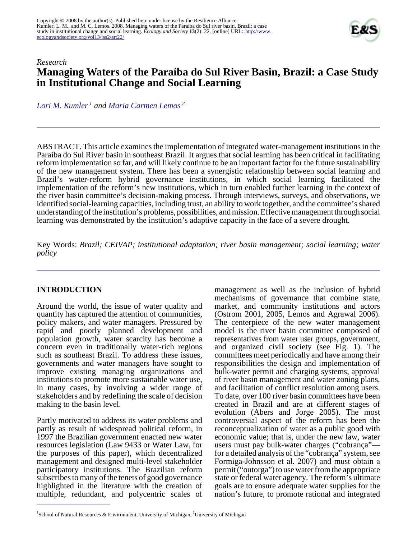

# *Research* **Managing Waters of the Paraíba do Sul River Basin, Brazil: a Case Study in Institutional Change and Social Learning**

*[Lori M. Kumler](mailto:lkumler@umich.edu)<sup>1</sup> and [Maria Carmen Lemos](mailto:lemos@umich.edu)<sup>2</sup>*

ABSTRACT. This article examines the implementation of integrated water-management institutions in the Paraíba do Sul River basin in southeast Brazil. It argues that social learning has been critical in facilitating reform implementation so far, and will likely continue to be an important factor for the future sustainability of the new management system. There has been a synergistic relationship between social learning and Brazil's water-reform hybrid governance institutions, in which social learning facilitated the implementation of the reform's new institutions, which in turn enabled further learning in the context of the river basin committee's decision-making process. Through interviews, surveys, and observations, we identified social-learning capacities, including trust, an ability to work together, and the committee's shared understanding of the institution's problems, possibilities, and mission. Effective management through social learning was demonstrated by the institution's adaptive capacity in the face of a severe drought.

Key Words: *Brazil; CEIVAP; institutional adaptation; river basin management; social learning; water policy*

## **INTRODUCTION**

Around the world, the issue of water quality and quantity has captured the attention of communities, policy makers, and water managers. Pressured by rapid and poorly planned development and population growth, water scarcity has become a concern even in traditionally water-rich regions such as southeast Brazil. To address these issues, governments and water managers have sought to improve existing managing organizations and institutions to promote more sustainable water use, in many cases, by involving a wider range of stakeholders and by redefining the scale of decision making to the basin level.

Partly motivated to address its water problems and partly as result of widespread political reform, in 1997 the Brazilian government enacted new water resources legislation (Law 9433 or Water Law, for the purposes of this paper), which decentralized management and designed multi-level stakeholder participatory institutions. The Brazilian reform subscribes to many of the tenets of good governance highlighted in the literature with the creation of multiple, redundant, and polycentric scales of management as well as the inclusion of hybrid mechanisms of governance that combine state, market, and community institutions and actors (Ostrom 2001, 2005, Lemos and Agrawal 2006). The centerpiece of the new water management model is the river basin committee composed of representatives from water user groups, government, and organized civil society (see Fig. 1). The committees meet periodically and have among their responsibilities the design and implementation of bulk-water permit and charging systems, approval of river basin management and water zoning plans, and facilitation of conflict resolution among users. To date, over 100 river basin committees have been created in Brazil and are at different stages of evolution (Abers and Jorge 2005). The most controversial aspect of the reform has been the reconceptualization of water as a public good with economic value; that is, under the new law, water users must pay bulk-water charges ("cobrança" for a detailed analysis of the "cobrança" system, see Formiga-Johnsson et al. 2007) and must obtain a permit ("outorga") to use water from the appropriate state or federal water agency. The reform's ultimate goals are to ensure adequate water supplies for the nation's future, to promote rational and integrated

<sup>&</sup>lt;sup>1</sup>School of Natural Resources & Environment, University of Michigan, <sup>2</sup>University of Michigan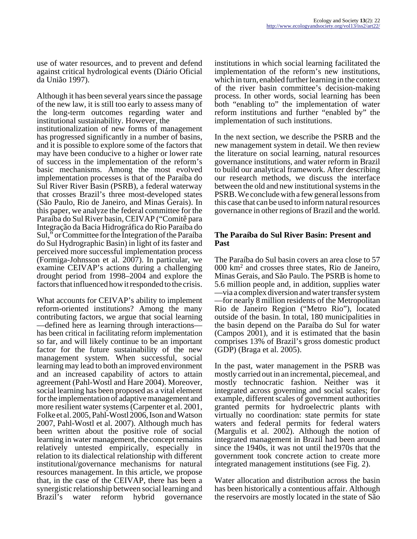use of water resources, and to prevent and defend against critical hydrological events (Diário Oficial da União 1997).

Although it has been several years since the passage of the new law, it is still too early to assess many of the long-term outcomes regarding water and institutional sustainability. However, the institutionalization of new forms of management

has progressed significantly in a number of basins, and it is possible to explore some of the factors that may have been conducive to a higher or lower rate of success in the implementation of the reform's basic mechanisms. Among the most evolved implementation processes is that of the Paraíba do Sul River River Basin (PSRB), a federal waterway that crosses Brazil's three most-developed states (São Paulo, Rio de Janeiro, and Minas Gerais). In this paper, we analyze the federal committee for the Paraíba do Sul River basin, CEIVAP ("Comitê para Integração da Bacia Hidrográfica do Rio Paraíba do Sul," or Committee for the Integration of the Paraíba do Sul Hydrographic Basin) in light of its faster and perceived more successful implementation process (Formiga-Johnsson et al. 2007). In particular, we examine CEIVAP's actions during a challenging drought period from 1998–2004 and explore the factors that influenced how it responded to the crisis.

What accounts for CEIVAP's ability to implement reform-oriented institutions? Among the many contributing factors, we argue that social learning —defined here as learning through interactions has been critical in facilitating reform implementation so far, and will likely continue to be an important factor for the future sustainability of the new management system. When successful, social learning may lead to both an improved environment and an increased capability of actors to attain agreement (Pahl-Wostl and Hare 2004). Moreover, social learning has been proposed as a vital element for the implementation of adaptive management and more resilient water systems (Carpenter et al. 2001, Folke et al. 2005, Pahl-Wostl 2006, Ison and Watson 2007, Pahl-Wostl et al. 2007). Although much has been written about the positive role of social learning in water management, the concept remains relatively untested empirically, especially in relation to its dialectical relationship with different institutional/governance mechanisms for natural resources management. In this article, we propose that, in the case of the CEIVAP, there has been a synergistic relationship between social learning and Brazil's water reform hybrid governance

institutions in which social learning facilitated the implementation of the reform's new institutions, which in turn, enabled further learning in the context of the river basin committee's decision-making process. In other words, social learning has been both "enabling to" the implementation of water reform institutions and further "enabled by" the implementation of such institutions.

In the next section, we describe the PSRB and the new management system in detail. We then review the literature on social learning, natural resources governance institutions, and water reform in Brazil to build our analytical framework. After describing our research methods, we discuss the interface between the old and new institutional systems in the PSRB. We conclude with a few general lessons from this case that can be used to inform natural resources governance in other regions of Brazil and the world.

#### **The Paraíba do Sul River Basin: Present and Past**

The Paraíba do Sul basin covers an area close to 57 000 km<sup>2</sup> and crosses three states, Rio de Janeiro, Minas Gerais, and São Paulo. The PSRB is home to 5.6 million people and, in addition, supplies water —via a complex diversion and water transfer system —for nearly 8 million residents of the Metropolitan Rio de Janeiro Region ("Metro Rio"), located outside of the basin. In total, 180 municipalities in the basin depend on the Paraíba do Sul for water (Campos 2001), and it is estimated that the basin comprises 13% of Brazil's gross domestic product (GDP) (Braga et al. 2005).

In the past, water management in the PSRB was mostly carried out in an incremental, piecemeal, and mostly technocratic fashion. Neither was it integrated across governing and social scales; for example, different scales of government authorities granted permits for hydroelectric plants with virtually no coordination: state permits for state waters and federal permits for federal waters (Margulis et al. 2002). Although the notion of integrated management in Brazil had been around since the 1940s, it was not until the1970s that the government took concrete action to create more integrated management institutions (see Fig. 2).

Water allocation and distribution across the basin has been historically a contentious affair. Although the reservoirs are mostly located in the state of São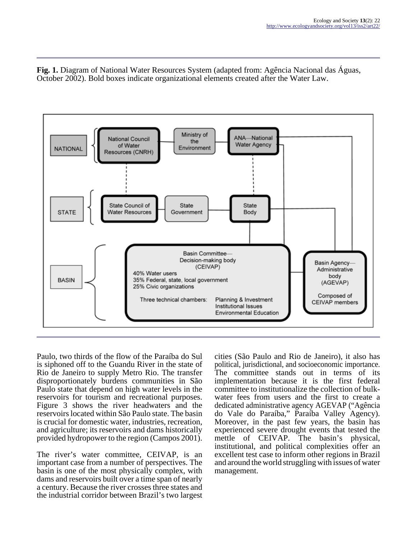**Fig. 1.** Diagram of National Water Resources System (adapted from: Agência Nacional das Águas, October 2002). Bold boxes indicate organizational elements created after the Water Law.



Paulo, two thirds of the flow of the Paraíba do Sul is siphoned off to the Guandu River in the state of Rio de Janeiro to supply Metro Rio. The transfer disproportionately burdens communities in São Paulo state that depend on high water levels in the reservoirs for tourism and recreational purposes. Figure 3 shows the river headwaters and the reservoirs located within São Paulo state. The basin is crucial for domestic water, industries, recreation, and agriculture; its reservoirs and dams historically provided hydropower to the region (Campos 2001).

The river's water committee, CEIVAP, is an important case from a number of perspectives. The basin is one of the most physically complex, with dams and reservoirs built over a time span of nearly a century. Because the river crosses three states and the industrial corridor between Brazil's two largest cities (São Paulo and Rio de Janeiro), it also has political, jurisdictional, and socioeconomic importance. The committee stands out in terms of its implementation because it is the first federal committee to institutionalize the collection of bulkwater fees from users and the first to create a dedicated administrative agency AGEVAP ("Agência do Vale do Paraíba," Paraíba Valley Agency). Moreover, in the past few years, the basin has experienced severe drought events that tested the mettle of CEIVAP. The basin's physical, institutional, and political complexities offer an excellent test case to inform other regions in Brazil and around the world struggling with issues of water management.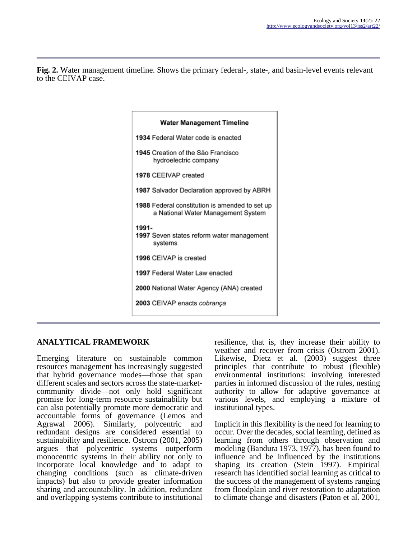**Fig. 2.** Water management timeline. Shows the primary federal-, state-, and basin-level events relevant to the CEIVAP case.

| <b>Water Management Timeline</b>                                                     |  |  |  |  |  |
|--------------------------------------------------------------------------------------|--|--|--|--|--|
| 1934 Federal Water code is enacted                                                   |  |  |  |  |  |
| 1945 Creation of the São Francisco<br>hydroelectric company                          |  |  |  |  |  |
| 1978 CEEIVAP created                                                                 |  |  |  |  |  |
| 1987 Salvador Declaration approved by ABRH                                           |  |  |  |  |  |
| 1988 Federal constitution is amended to set up<br>a National Water Management System |  |  |  |  |  |
| 1991-<br>1997 Seven states reform water management<br>systems                        |  |  |  |  |  |
| 1996 CEIVAP is created                                                               |  |  |  |  |  |
| 1997 Federal Water Law enacted                                                       |  |  |  |  |  |
| 2000 National Water Agency (ANA) created                                             |  |  |  |  |  |
| 2003 CEIVAP enacts cobrança                                                          |  |  |  |  |  |

# **ANALYTICAL FRAMEWORK**

Emerging literature on sustainable common resources management has increasingly suggested that hybrid governance modes—those that span different scales and sectors across the state-marketcommunity divide—not only hold significant promise for long-term resource sustainability but can also potentially promote more democratic and accountable forms of governance (Lemos and Agrawal 2006). Similarly, polycentric and redundant designs are considered essential to sustainability and resilience. Ostrom (2001, 2005) argues that polycentric systems outperform monocentric systems in their ability not only to incorporate local knowledge and to adapt to changing conditions (such as climate-driven impacts) but also to provide greater information sharing and accountability. In addition, redundant and overlapping systems contribute to institutional resilience, that is, they increase their ability to weather and recover from crisis (Ostrom 2001). Likewise, Dietz et al. (2003) suggest three principles that contribute to robust (flexible) environmental institutions: involving interested parties in informed discussion of the rules, nesting authority to allow for adaptive governance at various levels, and employing a mixture of institutional types.

Implicit in this flexibility is the need for learning to occur. Over the decades, social learning, defined as learning from others through observation and modeling (Bandura 1973, 1977), has been found to influence and be influenced by the institutions shaping its creation (Stein 1997). Empirical research has identified social learning as critical to the success of the management of systems ranging from floodplain and river restoration to adaptation to climate change and disasters (Paton et al. 2001,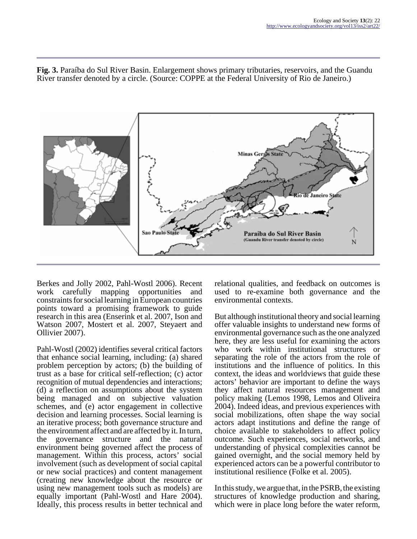**Fig. 3.** Paraíba do Sul River Basin. Enlargement shows primary tributaries, reservoirs, and the Guandu River transfer denoted by a circle. (Source: COPPE at the Federal University of Rio de Janeiro.)



Berkes and Jolly 2002, Pahl-Wostl 2006). Recent work carefully mapping opportunities and constraints for social learning in European countries points toward a promising framework to guide research in this area (Enserink et al. 2007, Ison and Watson 2007, Mostert et al. 2007, Steyaert and Ollivier 2007).

Pahl-Wostl (2002) identifies several critical factors that enhance social learning, including: (a) shared problem perception by actors; (b) the building of trust as a base for critical self-reflection; (c) actor recognition of mutual dependencies and interactions; (d) a reflection on assumptions about the system being managed and on subjective valuation schemes, and (e) actor engagement in collective decision and learning processes. Social learning is an iterative process; both governance structure and the environment affect and are affected by it. In turn, the governance structure and the natural environment being governed affect the process of management. Within this process, actors' social involvement (such as development of social capital or new social practices) and content management (creating new knowledge about the resource or using new management tools such as models) are equally important (Pahl-Wostl and Hare 2004). Ideally, this process results in better technical and

relational qualities, and feedback on outcomes is used to re-examine both governance and the environmental contexts.

But although institutional theory and social learning offer valuable insights to understand new forms of environmental governance such as the one analyzed here, they are less useful for examining the actors who work within institutional structures or separating the role of the actors from the role of institutions and the influence of politics. In this context, the ideas and worldviews that guide these actors' behavior are important to define the ways they affect natural resources management and policy making (Lemos 1998, Lemos and Oliveira 2004). Indeed ideas, and previous experiences with social mobilizations, often shape the way social actors adapt institutions and define the range of choice available to stakeholders to affect policy outcome. Such experiences, social networks, and understanding of physical complexities cannot be gained overnight, and the social memory held by experienced actors can be a powerful contributor to institutional resilience (Folke et al. 2005).

In this study, we argue that, in the PSRB, the existing structures of knowledge production and sharing, which were in place long before the water reform,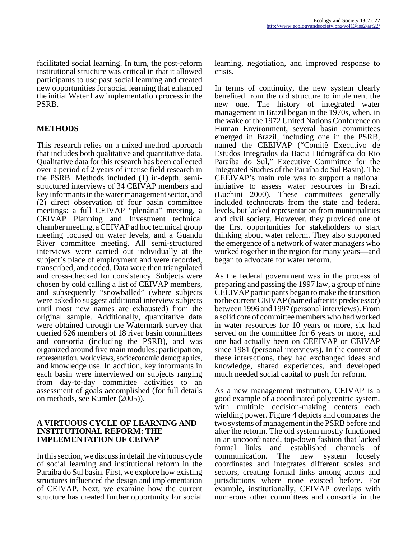facilitated social learning. In turn, the post-reform institutional structure was critical in that it allowed participants to use past social learning and created new opportunities for social learning that enhanced the initial Water Law implementation process in the PSRB.

## **METHODS**

This research relies on a mixed method approach that includes both qualitative and quantitative data. Qualitative data for this research has been collected over a period of 2 years of intense field research in the PSRB. Methods included (1) in-depth, semistructured interviews of 34 CEIVAP members and key informants in the water management sector, and (2) direct observation of four basin committee meetings: a full CEIVAP "plenária" meeting, a CEIVAP Planning and Investment technical chamber meeting, a CEIVAP ad hoc technical group meeting focused on water levels, and a Guandu River committee meeting. All semi-structured interviews were carried out individually at the subject's place of employment and were recorded, transcribed, and coded. Data were then triangulated and cross-checked for consistency. Subjects were chosen by cold calling a list of CEIVAP members, and subsequently "snowballed" (where subjects were asked to suggest additional interview subjects until most new names are exhausted) from the original sample. Additionally, quantitative data were obtained through the Watermark survey that queried 626 members of 18 river basin committees and consortia (including the PSRB), and was organized around five main modules: participation, representation, worldviews, socioeconomic demographics, and knowledge use. In addition, key informants in each basin were interviewed on subjects ranging from day-to-day committee activities to an assessment of goals accomplished (for full details on methods, see Kumler (2005)).

#### **A VIRTUOUS CYCLE OF LEARNING AND INSTITUTIONAL REFORM: THE IMPLEMENTATION OF CEIVAP**

In this section, we discuss in detail the virtuous cycle of social learning and institutional reform in the Paraíba do Sul basin. First, we explore how existing structures influenced the design and implementation of CEIVAP. Next, we examine how the current structure has created further opportunity for social

learning, negotiation, and improved response to crisis.

In terms of continuity, the new system clearly benefited from the old structure to implement the new one. The history of integrated water management in Brazil began in the 1970s, when, in the wake of the 1972 United Nations Conference on Human Environment, several basin committees emerged in Brazil, including one in the PSRB, named the CEEIVAP ("Comitê Executivo de Estudos Integrados da Bacia Hidrográfica do Rio Paraíba do Sul," Executive Committee for the Integrated Studies of the Paraíba do Sul Basin). The CEEIVAP's main role was to support a national initiative to assess water resources in Brazil (Luchini 2000). These committees generally included technocrats from the state and federal levels, but lacked representation from municipalities and civil society. However, they provided one of the first opportunities for stakeholders to start thinking about water reform. They also supported the emergence of a network of water managers who worked together in the region for many years—and began to advocate for water reform.

As the federal government was in the process of preparing and passing the 1997 law, a group of nine CEEIVAP participants began to make the transition to the current CEIVAP (named after its predecessor) between 1996 and 1997 (personal interviews). From a solid core of committee members who had worked in water resources for 10 years or more, six had served on the committee for 6 years or more, and one had actually been on CEEIVAP or CEIVAP since 1981 (personal interviews). In the context of these interactions, they had exchanged ideas and knowledge, shared experiences, and developed much needed social capital to push for reform.

As a new management institution, CEIVAP is a good example of a coordinated polycentric system, with multiple decision-making centers each wielding power. Figure 4 depicts and compares the two systems of management in the PSRB before and after the reform. The old system mostly functioned in an uncoordinated, top-down fashion that lacked formal links and established channels of communication. The new system loosely coordinates and integrates different scales and sectors, creating formal links among actors and jurisdictions where none existed before. For example, institutionally, CEIVAP overlaps with numerous other committees and consortia in the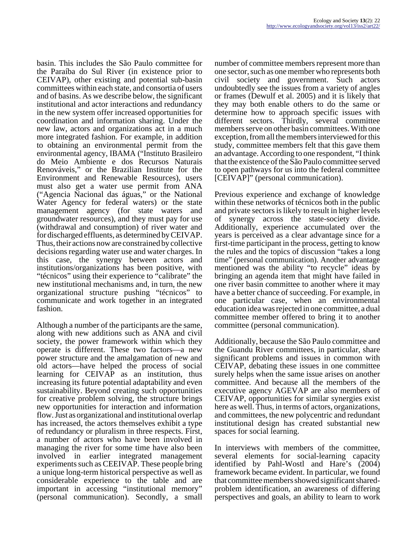basin. This includes the São Paulo committee for the Paraíba do Sul River (in existence prior to CEIVAP), other existing and potential sub-basin committees within each state, and consortia of users and of basins. As we describe below, the significant institutional and actor interactions and redundancy in the new system offer increased opportunities for coordination and information sharing. Under the new law, actors and organizations act in a much more integrated fashion. For example, in addition to obtaining an environmental permit from the environmental agency, IBAMA ("Instituto Brasileiro do Meio Ambiente e dos Recursos Naturais Renováveis," or the Brazilian Institute for the Environment and Renewable Resources), users must also get a water use permit from ANA ("Agencia Nacional das águas," or the National Water Agency for federal waters) or the state management agency (for state waters and groundwater resources), and they must pay for use (withdrawal and consumption) of river water and for discharged effluents, as determined by CEIVAP. Thus, their actions now are constrained by collective decisions regarding water use and water charges. In this case, the synergy between actors and institutions/organizations has been positive, with "técnicos" using their experience to "calibrate" the new institutional mechanisms and, in turn, the new organizational structure pushing "técnicos" to communicate and work together in an integrated fashion.

Although a number of the participants are the same, along with new additions such as ANA and civil society, the power framework within which they operate is different. These two factors—a new power structure and the amalgamation of new and old actors—have helped the process of social learning for CEIVAP as an institution, thus increasing its future potential adaptability and even sustainability. Beyond creating such opportunities for creative problem solving, the structure brings new opportunities for interaction and information flow. Just as organizational and institutional overlap has increased, the actors themselves exhibit a type of redundancy or pluralism in three respects. First, a number of actors who have been involved in managing the river for some time have also been involved in earlier integrated management experiments such as CEEIVAP. These people bring a unique long-term historical perspective as well as considerable experience to the table and are important in accessing "institutional memory" (personal communication). Secondly, a small

number of committee members represent more than one sector, such as one member who represents both civil society and government. Such actors undoubtedly see the issues from a variety of angles or frames (Dewulf et al. 2005) and it is likely that they may both enable others to do the same or determine how to approach specific issues with different sectors. Thirdly, several committee members serve on other basin committees. With one exception, from all the members interviewed for this study, committee members felt that this gave them an advantage. According to one respondent, "I think that the existence of the São Paulo committee served to open pathways for us into the federal committee [CEIVAP]" (personal communication).

Previous experience and exchange of knowledge within these networks of técnicos both in the public and private sectors is likely to result in higher levels of synergy across the state-society divide. Additionally, experience accumulated over the years is perceived as a clear advantage since for a first-time participant in the process, getting to know the rules and the topics of discussion "takes a long time" (personal communication). Another advantage mentioned was the ability "to recycle" ideas by bringing an agenda item that might have failed in one river basin committee to another where it may have a better chance of succeeding. For example, in one particular case, when an environmental education idea was rejected in one committee, a dual committee member offered to bring it to another committee (personal communication).

Additionally, because the São Paulo committee and the Guandu River committees, in particular, share significant problems and issues in common with CEIVAP, debating these issues in one committee surely helps when the same issue arises on another committee. And because all the members of the executive agency AGEVAP are also members of CEIVAP, opportunities for similar synergies exist here as well. Thus, in terms of actors, organizations, and committees, the new polycentric and redundant institutional design has created substantial new spaces for social learning.

In interviews with members of the committee, several elements for social-learning capacity identified by Pahl-Wostl and Hare's (2004) framework became evident. In particular, we found that committee members showed significant sharedproblem identification, an awareness of differing perspectives and goals, an ability to learn to work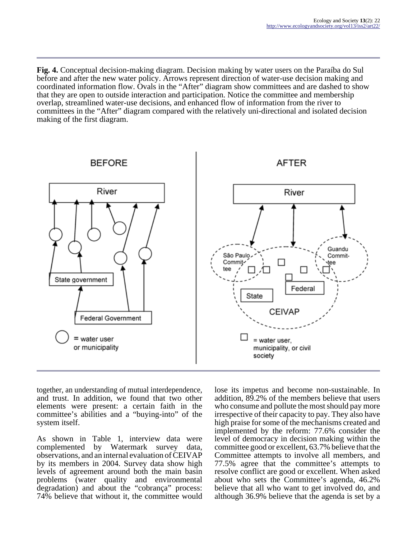**Fig. 4.** Conceptual decision-making diagram. Decision making by water users on the Paraíba do Sul before and after the new water policy. Arrows represent direction of water-use decision making and coordinated information flow. Ovals in the "After" diagram show committees and are dashed to show that they are open to outside interaction and participation. Notice the committee and membership overlap, streamlined water-use decisions, and enhanced flow of information from the river to committees in the "After" diagram compared with the relatively uni-directional and isolated decision making of the first diagram.



together, an understanding of mutual interdependence, and trust. In addition, we found that two other elements were present: a certain faith in the committee's abilities and a "buying-into" of the system itself.

As shown in Table 1, interview data were complemented by Watermark survey data, observations, and an internal evaluation of CEIVAP by its members in 2004. Survey data show high levels of agreement around both the main basin problems (water quality and environmental degradation) and about the "cobrança" process: 74% believe that without it, the committee would

lose its impetus and become non-sustainable. In addition, 89.2% of the members believe that users who consume and pollute the most should pay more irrespective of their capacity to pay. They also have high praise for some of the mechanisms created and implemented by the reform: 77.6% consider the level of democracy in decision making within the committee good or excellent, 63.7% believe that the Committee attempts to involve all members, and 77.5% agree that the committee's attempts to resolve conflict are good or excellent. When asked about who sets the Committee's agenda, 46.2% believe that all who want to get involved do, and although 36.9% believe that the agenda is set by a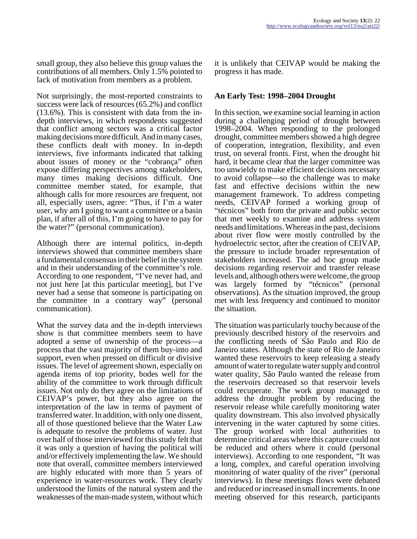small group, they also believe this group values the contributions of all members. Only 1.5% pointed to lack of motivation from members as a problem.

Not surprisingly, the most-reported constraints to success were lack of resources (65.2%) and conflict (13.6%). This is consistent with data from the indepth interviews, in which respondents suggested that conflict among sectors was a critical factor making decisions more difficult. And in many cases, these conflicts dealt with money. In in-depth interviews, five informants indicated that talking about issues of money or the "cobrança" often expose differing perspectives among stakeholders, many times making decisions difficult. One committee member stated, for example, that although calls for more resources are frequent, not all, especially users, agree: "Thus, if I'm a water user, why am I going to want a committee or a basin plan, if after all of this, I'm going to have to pay for the water?" (personal communication).

Although there are internal politics, in-depth interviews showed that committee members share a fundamental consensus in their belief in the system and in their understanding of the committee's role. According to one respondent, "I've never had, and not just here [at this particular meeting], but I've never had a sense that someone is participating on the committee in a contrary way" (personal communication).

What the survey data and the in-depth interviews show is that committee members seem to have adopted a sense of ownership of the process—a process that the vast majority of them buy-into and support, even when pressed on difficult or divisive issues. The level of agreement shown, especially on agenda items of top priority, bodes well for the ability of the committee to work through difficult issues. Not only do they agree on the limitations of CEIVAP's power, but they also agree on the interpretation of the law in terms of payment of transferred water. In addition, with only one dissent, all of those questioned believe that the Water Law is adequate to resolve the problems of water. Just over half of those interviewed for this study felt that it was only a question of having the political will and/or effectively implementing the law. We should note that overall, committee members interviewed are highly educated with more than 5 years of experience in water-resources work. They clearly understood the limits of the natural system and the weaknesses of the man-made system, without which

it is unlikely that CEIVAP would be making the progress it has made.

## **An Early Test: 1998–2004 Drought**

In this section, we examine social learning in action during a challenging period of drought between 1998–2004. When responding to the prolonged drought, committee members showed a high degree of cooperation, integration, flexibility, and even trust, on several fronts. First, when the drought hit hard, it became clear that the larger committee was too unwieldy to make efficient decisions necessary to avoid collapse—so the challenge was to make fast and effective decisions within the new management framework. To address competing needs, CEIVAP formed a working group of "técnicos" both from the private and public sector that met weekly to examine and address system needs and limitations. Whereas in the past, decisions about river flow were mostly controlled by the hydroelectric sector, after the creation of CEIVAP, the pressure to include broader representation of stakeholders increased. The ad hoc group made decisions regarding reservoir and transfer release levels and, although others were welcome, the group was largely formed by "técnicos" (personal observations). As the situation improved, the group met with less frequency and continued to monitor the situation.

The situation was particularly touchy because of the previously described history of the reservoirs and the conflicting needs of São Paulo and Rio de Janeiro states. Although the state of Rio de Janeiro wanted these reservoirs to keep releasing a steady amount of water to regulate water supply and control water quality, São Paulo wanted the release from the reservoirs decreased so that reservoir levels could recuperate. The work group managed to address the drought problem by reducing the reservoir release while carefully monitoring water quality downstream. This also involved physically intervening in the water captured by some cities. The group worked with local authorities to determine critical areas where this capture could not be reduced and others where it could (personal interviews). According to one respondent, "It was a long, complex, and careful operation involving monitoring of water quality of the river" (personal interviews). In these meetings flows were debated and reduced or increased in small increments. In one meeting observed for this research, participants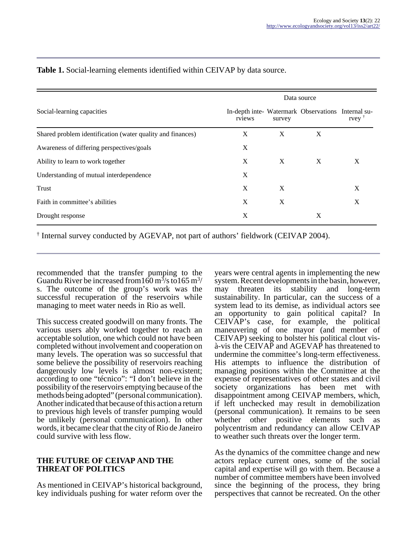|                                                            | Data source |        |                                                    |      |
|------------------------------------------------------------|-------------|--------|----------------------------------------------------|------|
| Social-learning capacities                                 | rviews      | survey | In-depth inte- Watermark Observations Internal su- | rvey |
| Shared problem identification (water quality and finances) | X           | X      | X                                                  |      |
| Awareness of differing perspectives/goals                  | X           |        |                                                    |      |
| Ability to learn to work together                          | X           | X      | X                                                  | X    |
| Understanding of mutual interdependence                    | X           |        |                                                    |      |
| Trust                                                      | X           | X      |                                                    | X    |
| Faith in committee's abilities                             | X           | X      |                                                    | X    |
| Drought response                                           | X           |        | X                                                  |      |

## **Table 1.** Social-learning elements identified within CEIVAP by data source.

† Internal survey conducted by AGEVAP, not part of authors' fieldwork (CEIVAP 2004).

recommended that the transfer pumping to the Guandu River be increased from  $160 \text{ m}^3/\text{s}$  to  $165 \text{ m}^3/\text{s}$ s. The outcome of the group's work was the successful recuperation of the reservoirs while managing to meet water needs in Rio as well.

This success created goodwill on many fronts. The various users ably worked together to reach an acceptable solution, one which could not have been completed without involvement and cooperation on many levels. The operation was so successful that some believe the possibility of reservoirs reaching dangerously low levels is almost non-existent; according to one "técnico": "I don't believe in the possibility of the reservoirs emptying because of the methods being adopted" (personal communication). Another indicated that because of this action a return to previous high levels of transfer pumping would be unlikely (personal communication). In other words, it became clear that the city of Rio de Janeiro could survive with less flow.

#### **THE FUTURE OF CEIVAP AND THE THREAT OF POLITICS**

As mentioned in CEIVAP's historical background, key individuals pushing for water reform over the years were central agents in implementing the new system. Recent developments in the basin, however, may threaten its stability and long-term sustainability. In particular, can the success of a system lead to its demise, as individual actors see an opportunity to gain political capital? In CEIVAP's case, for example, the political maneuvering of one mayor (and member of CEIVAP) seeking to bolster his political clout visà-vis the CEIVAP and AGEVAP has threatened to undermine the committee's long-term effectiveness. His attempts to influence the distribution of managing positions within the Committee at the expense of representatives of other states and civil society organizations has been met with disappointment among CEIVAP members, which, if left unchecked may result in demobilization (personal communication). It remains to be seen whether other positive elements such as polycentrism and redundancy can allow CEIVAP to weather such threats over the longer term.

As the dynamics of the committee change and new actors replace current ones, some of the social capital and expertise will go with them. Because a number of committee members have been involved since the beginning of the process, they bring perspectives that cannot be recreated. On the other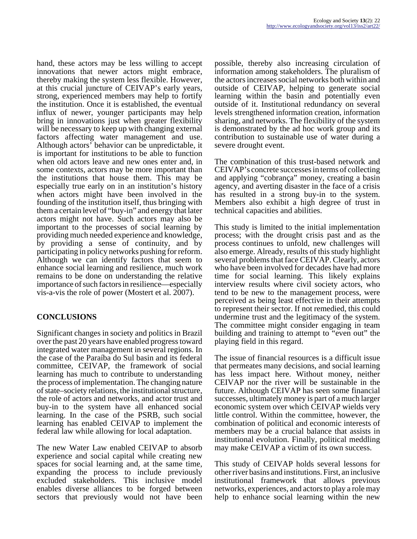hand, these actors may be less willing to accept innovations that newer actors might embrace, thereby making the system less flexible. However, at this crucial juncture of CEIVAP's early years, strong, experienced members may help to fortify the institution. Once it is established, the eventual influx of newer, younger participants may help bring in innovations just when greater flexibility will be necessary to keep up with changing external factors affecting water management and use. Although actors' behavior can be unpredictable, it is important for institutions to be able to function when old actors leave and new ones enter and, in some contexts, actors may be more important than the institutions that house them. This may be especially true early on in an institution's history when actors might have been involved in the founding of the institution itself, thus bringing with them a certain level of "buy-in" and energy that later actors might not have. Such actors may also be important to the processes of social learning by providing much needed experience and knowledge, by providing a sense of continuity, and by participating in policy networks pushing for reform. Although we can identify factors that seem to enhance social learning and resilience, much work remains to be done on understanding the relative importance of such factors in resilience—especially vis-a-vis the role of power (Mostert et al. 2007).

# **CONCLUSIONS**

Significant changes in society and politics in Brazil over the past 20 years have enabled progress toward integrated water management in several regions. In the case of the Paraíba do Sul basin and its federal committee, CEIVAP, the framework of social learning has much to contribute to understanding the process of implementation. The changing nature of state–society relations, the institutional structure, the role of actors and networks, and actor trust and buy-in to the system have all enhanced social learning. In the case of the PSRB, such social learning has enabled CEIVAP to implement the federal law while allowing for local adaptation.

The new Water Law enabled CEIVAP to absorb experience and social capital while creating new spaces for social learning and, at the same time, expanding the process to include previously excluded stakeholders. This inclusive model enables diverse alliances to be forged between sectors that previously would not have been

possible, thereby also increasing circulation of information among stakeholders. The pluralism of the actors increases social networks both within and outside of CEIVAP, helping to generate social learning within the basin and potentially even outside of it. Institutional redundancy on several levels strengthened information creation, information sharing, and networks. The flexibility of the system is demonstrated by the ad hoc work group and its contribution to sustainable use of water during a severe drought event.

The combination of this trust-based network and CEIVAP's concrete successes in terms of collecting and applying "cobrança" money, creating a basin agency, and averting disaster in the face of a crisis has resulted in a strong buy-in to the system. Members also exhibit a high degree of trust in technical capacities and abilities.

This study is limited to the initial implementation process; with the drought crisis past and as the process continues to unfold, new challenges will also emerge. Already, results of this study highlight several problems that face CEIVAP. Clearly, actors who have been involved for decades have had more time for social learning. This likely explains interview results where civil society actors, who tend to be new to the management process, were perceived as being least effective in their attempts to represent their sector. If not remedied, this could undermine trust and the legitimacy of the system. The committee might consider engaging in team building and training to attempt to "even out" the playing field in this regard.

The issue of financial resources is a difficult issue that permeates many decisions, and social learning has less impact here. Without money, neither CEIVAP nor the river will be sustainable in the future. Although CEIVAP has seen some financial successes, ultimately money is part of a much larger economic system over which CEIVAP wields very little control. Within the committee, however, the combination of political and economic interests of members may be a crucial balance that assists in institutional evolution. Finally, political meddling may make CEIVAP a victim of its own success.

This study of CEIVAP holds several lessons for other river basins and institutions. First, an inclusive institutional framework that allows previous networks, experiences, and actors to play a role may help to enhance social learning within the new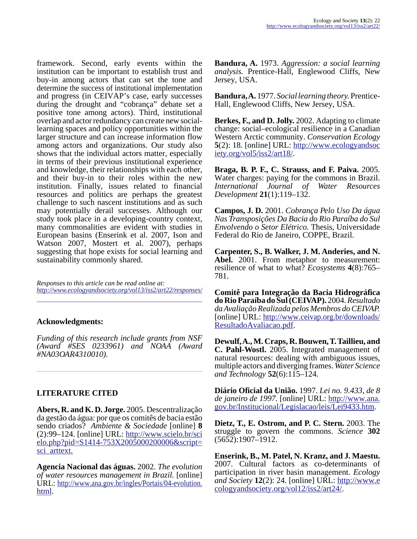framework. Second, early events within the institution can be important to establish trust and buy-in among actors that can set the tone and determine the success of institutional implementation and progress (in CEIVAP's case, early successes during the drought and "cobrança" debate set a positive tone among actors). Third, institutional overlap and actor redundancy can create new sociallearning spaces and policy opportunities within the larger structure and can increase information flow among actors and organizations. Our study also shows that the individual actors matter, especially in terms of their previous institutional experience and knowledge, their relationships with each other, and their buy-in to their roles within the new institution. Finally, issues related to financial resources and politics are perhaps the greatest challenge to such nascent institutions and as such may potentially derail successes. Although our study took place in a developing-country context, many commonalities are evident with studies in European basins (Enserink et al. 2007, Ison and Watson 2007, Mostert et al. 2007), perhaps suggesting that hope exists for social learning and sustainability commonly shared.

*Responses to this article can be read online at: <http://www.ecologyandsociety.org/vol13/iss2/art22/responses/>*

## **Acknowledgments:**

*Funding of this research include grants from NSF (Award #SES 0233961) and NOAA (Award #NA03OAR4310010).*

## **LITERATURE CITED**

**Abers, R. and K. D. Jorge.** 2005. Descentralização da gestão da água: por que os comitês de bacia estão sendo criados? *Ambiente & Sociedade* [online] **8** (2):99–124. [online] URL: [http://www.scielo.br/sci](http://www.scielo.br/scielo.php?pid=S1414-753X2005000200006&script=sci_arttext)  $e$ lo.php?pid=S1414-753X2005000200006&script= [sci\\_arttext.](http://www.scielo.br/scielo.php?pid=S1414-753X2005000200006&script=sci_arttext)

**Agencia Nacional das águas.** 2002. *The evolution of water resources management in Brazil.* [online] URL: [http://www.ana.gov.br/ingles/Portais/04-evolution.](http://www.ana.gov.br/ingles/Portais/04-evolution.html) [html](http://www.ana.gov.br/ingles/Portais/04-evolution.html).

**Bandura, A.** 1973. *Aggression: a social learning analysis.* Prentice-Hall, Englewood Cliffs, New Jersey, USA.

**Bandura, A.** 1977. *Social learning theory.* Prentice-Hall, Englewood Cliffs, New Jersey, USA.

**Berkes, F., and D. Jolly.** 2002. Adapting to climate change: social–ecological resilience in a Canadian Western Arctic community. *Conservation Ecology* **5**(2): 18. [online] URL: [http://www.ecologyandsoc](http://www.ecologyandsociety.org/vol5/iss2/art18/) [iety.org/vol5/iss2/art18/](http://www.ecologyandsociety.org/vol5/iss2/art18/).

**Braga, B. P. F., C. Strauss, and F. Paiva.** 2005. Water charges: paying for the commons in Brazil. *International Journal of Water Resources Development* **21**(1):119–132.

**Campos, J. D.** 2001. *Cobrança Pelo Uso Da água Nas Transposições Da Bacia do Rio Paraíba do Sul Envolvendo o Setor Elétrico.* Thesis, Universidade Federal do Rio de Janeiro, COPPE, Brazil.

**Carpenter, S., B. Walker, J. M. Anderies, and N. Abel.** 2001. From metaphor to measurement: resilience of what to what? *Ecosystems* **4**(8):765– 781.

**Comitê para Integração da Bacia Hidrográfica do Rio Paraíba do Sul (CEIVAP).** 2004. *Resultado da Avaliação Realizada pelos Membros do CEIVAP.* [online] URL: [http://www.ceivap.org.br/downloads/](http://www.ceivap.org.br/downloads/ResultadoAvaliacao.pdf) [ResultadoAvaliacao.pdf.](http://www.ceivap.org.br/downloads/ResultadoAvaliacao.pdf)

**Dewulf, A., M. Craps, R. Bouwen, T. Taillieu, and C. Pahl-Wostl.** 2005. Integrated management of natural resources: dealing with ambiguous issues, multiple actors and diverging frames. *Water Science and Technology* **52**(6):115–124.

**Diário Oficial da União.** 1997. *Lei no. 9.433, de 8 de janeiro de 1997.* [online] URL: [http://www.ana.](http://www.ana.gov.br/Institucional/Legislacao/leis/Lei9433.htm) [gov.br/Institucional/Legislacao/leis/Lei9433.htm.](http://www.ana.gov.br/Institucional/Legislacao/leis/Lei9433.htm)

**Dietz, T., E. Ostrom, and P. C. Stern.** 2003. The struggle to govern the commons. *Science* **302** (5652):1907–1912.

**Enserink, B., M. Patel, N. Kranz, and J. Maestu.** 2007. Cultural factors as co-determinants of participation in river basin management. *Ecology and Society* **12**(2): 24. [online] URL: [http://www.e](http://www.ecologyandsociety.org/vol12/iss2/art24/) [cologyandsociety.org/vol12/iss2/art24/.](http://www.ecologyandsociety.org/vol12/iss2/art24/)